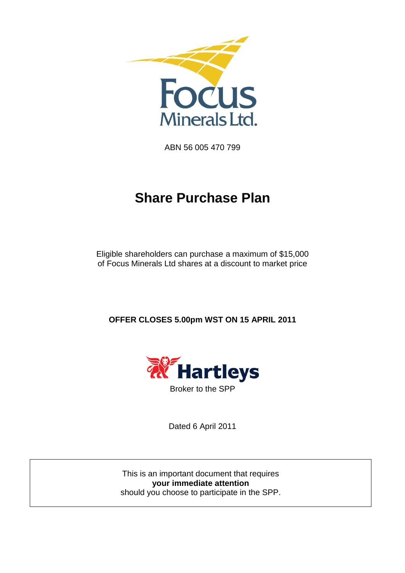

ABN 56 005 470 799

# **Share Purchase Plan**

Eligible shareholders can purchase a maximum of \$15,000 of Focus Minerals Ltd shares at a discount to market price

**OFFER CLOSES 5.00pm WST ON 15 APRIL 2011**



Dated 6 April 2011

This is an important document that requires **your immediate attention** should you choose to participate in the SPP.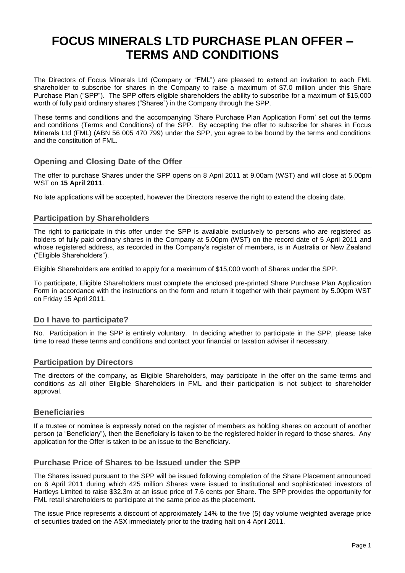# **FOCUS MINERALS LTD PURCHASE PLAN OFFER – TERMS AND CONDITIONS**

The Directors of Focus Minerals Ltd (Company or "FML") are pleased to extend an invitation to each FML shareholder to subscribe for shares in the Company to raise a maximum of \$7.0 million under this Share Purchase Plan ("SPP"). The SPP offers eligible shareholders the ability to subscribe for a maximum of \$15,000 worth of fully paid ordinary shares ("Shares") in the Company through the SPP.

These terms and conditions and the accompanying "Share Purchase Plan Application Form" set out the terms and conditions (Terms and Conditions) of the SPP. By accepting the offer to subscribe for shares in Focus Minerals Ltd (FML) (ABN 56 005 470 799) under the SPP, you agree to be bound by the terms and conditions and the constitution of FML.

# **Opening and Closing Date of the Offer**

The offer to purchase Shares under the SPP opens on 8 April 2011 at 9.00am (WST) and will close at 5.00pm WST on **15 April 2011**.

No late applications will be accepted, however the Directors reserve the right to extend the closing date.

# **Participation by Shareholders**

The right to participate in this offer under the SPP is available exclusively to persons who are registered as holders of fully paid ordinary shares in the Company at 5.00pm (WST) on the record date of 5 April 2011 and whose registered address, as recorded in the Company's register of members, is in Australia or New Zealand ("Eligible Shareholders").

Eligible Shareholders are entitled to apply for a maximum of \$15,000 worth of Shares under the SPP.

To participate, Eligible Shareholders must complete the enclosed pre-printed Share Purchase Plan Application Form in accordance with the instructions on the form and return it together with their payment by 5.00pm WST on Friday 15 April 2011.

# **Do I have to participate?**

No. Participation in the SPP is entirely voluntary. In deciding whether to participate in the SPP, please take time to read these terms and conditions and contact your financial or taxation adviser if necessary.

# **Participation by Directors**

The directors of the company, as Eligible Shareholders, may participate in the offer on the same terms and conditions as all other Eligible Shareholders in FML and their participation is not subject to shareholder approval.

# **Beneficiaries**

If a trustee or nominee is expressly noted on the register of members as holding shares on account of another person (a "Beneficiary"), then the Beneficiary is taken to be the registered holder in regard to those shares. Any application for the Offer is taken to be an issue to the Beneficiary.

# **Purchase Price of Shares to be Issued under the SPP**

The Shares issued pursuant to the SPP will be issued following completion of the Share Placement announced on 6 April 2011 during which 425 million Shares were issued to institutional and sophisticated investors of Hartleys Limited to raise \$32.3m at an issue price of 7.6 cents per Share. The SPP provides the opportunity for FML retail shareholders to participate at the same price as the placement.

The issue Price represents a discount of approximately 14% to the five (5) day volume weighted average price of securities traded on the ASX immediately prior to the trading halt on 4 April 2011.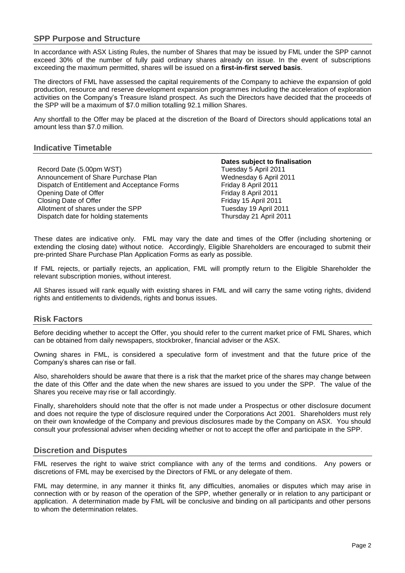# **SPP Purpose and Structure**

In accordance with ASX Listing Rules, the number of Shares that may be issued by FML under the SPP cannot exceed 30% of the number of fully paid ordinary shares already on issue. In the event of subscriptions exceeding the maximum permitted, shares will be issued on a **first-in-first served basis**.

The directors of FML have assessed the capital requirements of the Company to achieve the expansion of gold production, resource and reserve development expansion programmes including the acceleration of exploration activities on the Company"s Treasure Island prospect. As such the Directors have decided that the proceeds of the SPP will be a maximum of \$7.0 million totalling 92.1 million Shares.

Any shortfall to the Offer may be placed at the discretion of the Board of Directors should applications total an amount less than \$7.0 million.

#### **Indicative Timetable**

Record Date (5.00pm WST) Tuesday 5 April 2011 Announcement of Share Purchase Plan Wednesday 6 April 2011 Dispatch of Entitlement and Acceptance Forms Friday 8 April 2011 Opening Date of Offer **Friday 8 April 2011** Closing Date of Offer Friday 15 April 2011 Allotment of shares under the SPP Tuesday 19 April 2011 Dispatch date for holding statements Thursday 21 April 2011

**Dates subject to finalisation**

These dates are indicative only. FML may vary the date and times of the Offer (including shortening or extending the closing date) without notice. Accordingly, Eligible Shareholders are encouraged to submit their pre-printed Share Purchase Plan Application Forms as early as possible.

If FML rejects, or partially rejects, an application, FML will promptly return to the Eligible Shareholder the relevant subscription monies, without interest.

All Shares issued will rank equally with existing shares in FML and will carry the same voting rights, dividend rights and entitlements to dividends, rights and bonus issues.

# **Risk Factors**

Before deciding whether to accept the Offer, you should refer to the current market price of FML Shares, which can be obtained from daily newspapers, stockbroker, financial adviser or the ASX.

Owning shares in FML, is considered a speculative form of investment and that the future price of the Company"s shares can rise or fall.

Also, shareholders should be aware that there is a risk that the market price of the shares may change between the date of this Offer and the date when the new shares are issued to you under the SPP. The value of the Shares you receive may rise or fall accordingly.

Finally, shareholders should note that the offer is not made under a Prospectus or other disclosure document and does not require the type of disclosure required under the Corporations Act 2001. Shareholders must rely on their own knowledge of the Company and previous disclosures made by the Company on ASX. You should consult your professional adviser when deciding whether or not to accept the offer and participate in the SPP.

#### **Discretion and Disputes**

FML reserves the right to waive strict compliance with any of the terms and conditions. Any powers or discretions of FML may be exercised by the Directors of FML or any delegate of them.

FML may determine, in any manner it thinks fit, any difficulties, anomalies or disputes which may arise in connection with or by reason of the operation of the SPP, whether generally or in relation to any participant or application. A determination made by FML will be conclusive and binding on all participants and other persons to whom the determination relates.